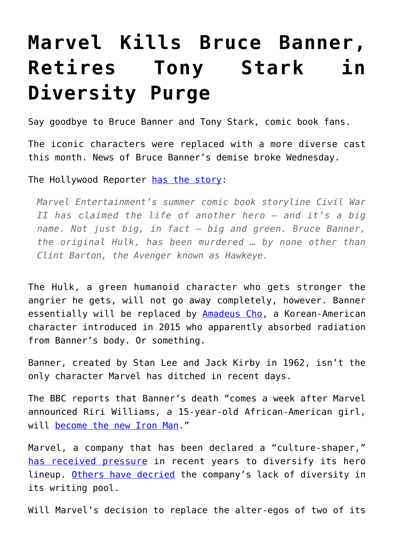## **[Marvel Kills Bruce Banner,](https://intellectualtakeout.org/2016/07/marvel-kills-bruce-banner-retires-tony-stark-in-diversity-purge/) [Retires Tony Stark in](https://intellectualtakeout.org/2016/07/marvel-kills-bruce-banner-retires-tony-stark-in-diversity-purge/) [Diversity Purge](https://intellectualtakeout.org/2016/07/marvel-kills-bruce-banner-retires-tony-stark-in-diversity-purge/)**

Say goodbye to Bruce Banner and Tony Stark, comic book fans.

The iconic characters were replaced with a more diverse cast this month. News of Bruce Banner's demise broke Wednesday.

The Hollywood Reporter [has the story](http://www.hollywoodreporter.com/heat-vision/civil-war-ii-spoilers-a-910247):

*Marvel Entertainment's summer comic book storyline Civil War II has claimed the life of another hero — and it's a big name. Not just big, in fact — big and green. Bruce Banner, the original Hulk, has been murdered … by none other than Clint Barton, the Avenger known as Hawkeye.*

The Hulk, a green humanoid character who gets stronger the angrier he gets, will not go away completely, however. Banner essentially will be replaced by **Amadeus Cho**, a Korean-American character introduced in 2015 who apparently absorbed radiation from Banner's body. Or something.

Banner, created by Stan Lee and Jack Kirby in 1962, isn't the only character Marvel has ditched in recent days.

The BBC reports that Banner's death "comes a week after Marvel announced Riri Williams, a 15-year-old African-American girl, will [become the new Iron Man](http://www.bbc.co.uk/news/world-us-canada-36731596)."

Marvel, a company that has been declared a "culture-shaper," [has received pressure](http://www.salon.com/2016/01/29/marvels_trump_agenda_maybe_its_no_accident_that_fans_have_to_push_for_equality_and_diversity_at_every_turn/) in recent years to diversify its hero lineup. [Others have decried](http://fusion.net/story/178290/marvel-fans-demand-more-diverse-editorial-voices/) the company's lack of diversity in its writing pool.

Will Marvel's decision to replace the alter-egos of two of its